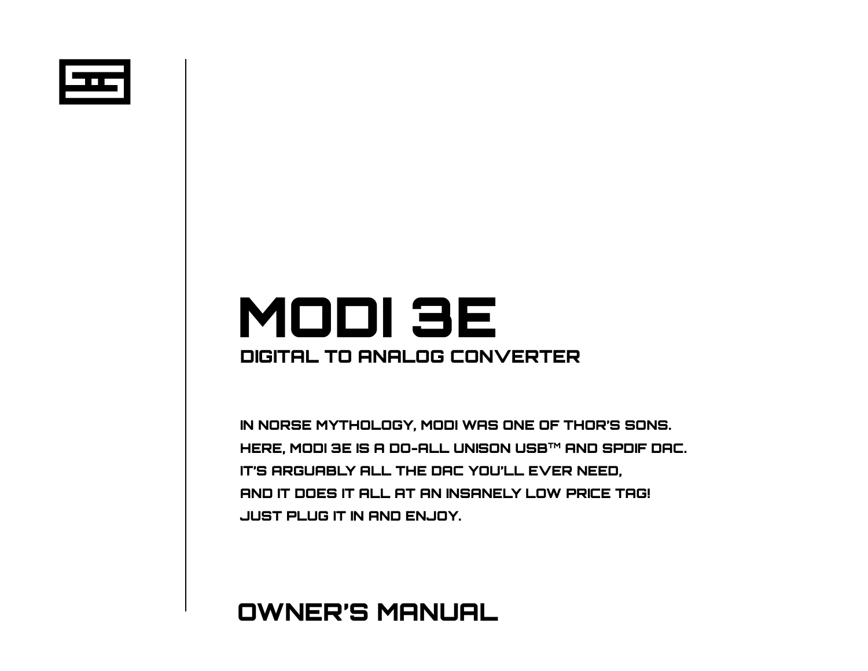

# DIGITAL TO ANALOG CONVERTER MODI 3E

IN NORSE MYTHOLOGY, MODI WAS ONE OF THOR'S SONS. HERE, MODI 3E IS A DO-ALL UNISON USB™ AND SPDIF DAC. IT'S ARGUABLY ALL THE DAC YOU'LL EVER NEED, AND IT DOES IT ALL AT AN INSANELY LOW PRICE TAG! JUST PLUG IT IN AND ENJOY.

## OWNER'S MANUAL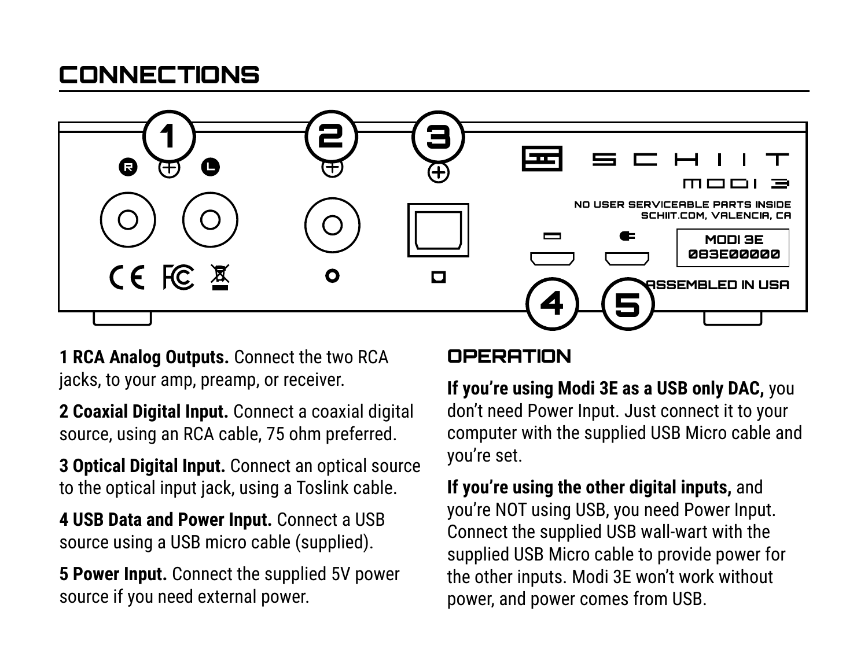## **CONNECTIONS**



**1 RCA Analog Outputs.** Connect the two RCA jacks, to your amp, preamp, or receiver.

**2 Coaxial Digital Input.** Connect a coaxial digital source, using an RCA cable, 75 ohm preferred.

**3 Optical Digital Input.** Connect an optical source to the optical input jack, using a Toslink cable.

**4 USB Data and Power Input.** Connect a USB source using a USB micro cable (supplied).

**5 Power Input.** Connect the supplied 5V power source if you need external power.

#### **OPERATION**

**If you're using Modi 3E as a USB only DAC,** you don't need Power Input. Just connect it to your computer with the supplied USB Micro cable and you're set.

**If you're using the other digital inputs,** and you're NOT using USB, you need Power Input. Connect the supplied USB wall-wart with the supplied USB Micro cable to provide power for the other inputs. Modi 3E won't work without power, and power comes from USB.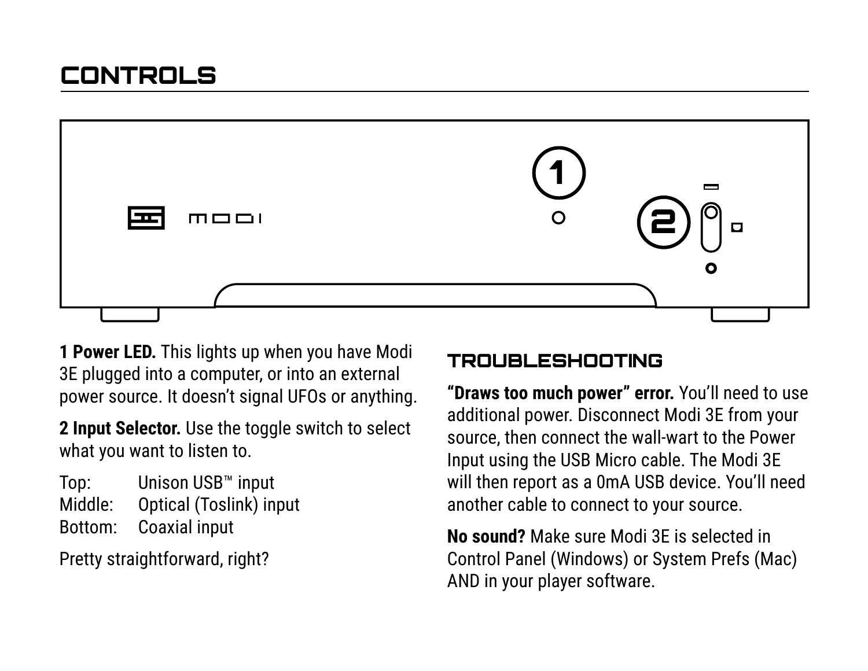

**1 Power LED.** This lights up when you have Modi 3E plugged into a computer, or into an external power source. It doesn't signal UFOs or anything.

**2 Input Selector.** Use the toggle switch to select what you want to listen to.

Top: Unison USB™ input Middle: Optical (Toslink) input Bottom: Coaxial input

Pretty straightforward, right?

#### TROUBLESHOOTING

**"Draws too much power" error.** You'll need to use additional power. Disconnect Modi 3E from your source, then connect the wall-wart to the Power Input using the USB Micro cable. The Modi 3E will then report as a 0mA USB device. You'll need another cable to connect to your source.

**No sound?** Make sure Modi 3E is selected in Control Panel (Windows) or System Prefs (Mac) AND in your player software.